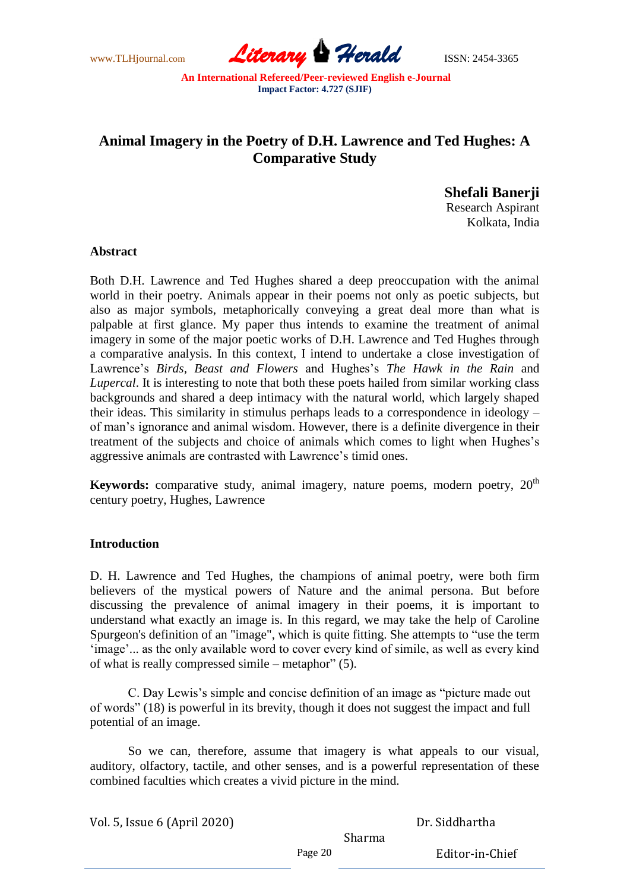www.TLHjournal.com *Literary Herald*ISSN: 2454-3365

# **Animal Imagery in the Poetry of D.H. Lawrence and Ted Hughes: A Comparative Study**

**Shefali Banerji** Research Aspirant Kolkata, India

#### **Abstract**

Both D.H. Lawrence and Ted Hughes shared a deep preoccupation with the animal world in their poetry. Animals appear in their poems not only as poetic subjects, but also as major symbols, metaphorically conveying a great deal more than what is palpable at first glance. My paper thus intends to examine the treatment of animal imagery in some of the major poetic works of D.H. Lawrence and Ted Hughes through a comparative analysis. In this context, I intend to undertake a close investigation of Lawrence's *Birds, Beast and Flowers* and Hughes's *The Hawk in the Rain* and *Lupercal*. It is interesting to note that both these poets hailed from similar working class backgrounds and shared a deep intimacy with the natural world, which largely shaped their ideas. This similarity in stimulus perhaps leads to a correspondence in ideology – of man's ignorance and animal wisdom. However, there is a definite divergence in their treatment of the subjects and choice of animals which comes to light when Hughes's aggressive animals are contrasted with Lawrence's timid ones.

**Keywords:** comparative study, animal imagery, nature poems, modern poetry,  $20<sup>th</sup>$ century poetry, Hughes, Lawrence

## **Introduction**

D. H. Lawrence and Ted Hughes, the champions of animal poetry, were both firm believers of the mystical powers of Nature and the animal persona. But before discussing the prevalence of animal imagery in their poems, it is important to understand what exactly an image is. In this regard, we may take the help of Caroline Spurgeon's definition of an "image", which is quite fitting. She attempts to "use the term ‗image'... as the only available word to cover every kind of simile, as well as every kind of what is really compressed simile – metaphor"  $(5)$ .

C. Day Lewis's simple and concise definition of an image as "picture made out of words" (18) is powerful in its brevity, though it does not suggest the impact and full potential of an image.

So we can, therefore, assume that imagery is what appeals to our visual, auditory, olfactory, tactile, and other senses, and is a powerful representation of these combined faculties which creates a vivid picture in the mind.

Vol. 5, Issue 6 (April 2020)

Dr. Siddhartha

Sharma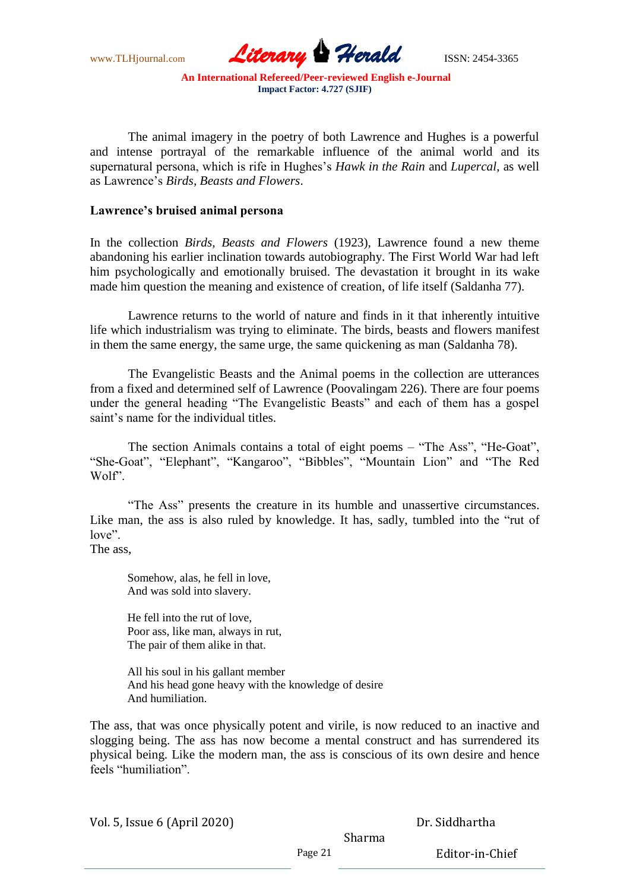www.TLHjournal.com *Literary Herald*ISSN: 2454-3365

The animal imagery in the poetry of both Lawrence and Hughes is a powerful and intense portrayal of the remarkable influence of the animal world and its supernatural persona, which is rife in Hughes's *Hawk in the Rain* and *Lupercal*, as well as Lawrence's *Birds, Beasts and Flowers*.

#### **Lawrence's bruised animal persona**

In the collection *Birds, Beasts and Flowers* (1923), Lawrence found a new theme abandoning his earlier inclination towards autobiography. The First World War had left him psychologically and emotionally bruised. The devastation it brought in its wake made him question the meaning and existence of creation, of life itself (Saldanha 77).

Lawrence returns to the world of nature and finds in it that inherently intuitive life which industrialism was trying to eliminate. The birds, beasts and flowers manifest in them the same energy, the same urge, the same quickening as man (Saldanha 78).

The Evangelistic Beasts and the Animal poems in the collection are utterances from a fixed and determined self of Lawrence (Poovalingam 226). There are four poems under the general heading "The Evangelistic Beasts" and each of them has a gospel saint's name for the individual titles.

The section Animals contains a total of eight poems – "The Ass", "He-Goat", ―She-Goat‖, ―Elephant‖, ―Kangaroo‖, ―Bibbles‖, ―Mountain Lion‖ and ―The Red Wolf".

"The Ass" presents the creature in its humble and unassertive circumstances. Like man, the ass is also ruled by knowledge. It has, sadly, tumbled into the "rut of love".

The ass,

Somehow, alas, he fell in love, And was sold into slavery.

He fell into the rut of love, Poor ass, like man, always in rut, The pair of them alike in that.

All his soul in his gallant member And his head gone heavy with the knowledge of desire And humiliation.

The ass, that was once physically potent and virile, is now reduced to an inactive and slogging being. The ass has now become a mental construct and has surrendered its physical being. Like the modern man, the ass is conscious of its own desire and hence feels "humiliation".

Vol. 5, Issue 6 (April 2020)

Dr. Siddhartha

Sharma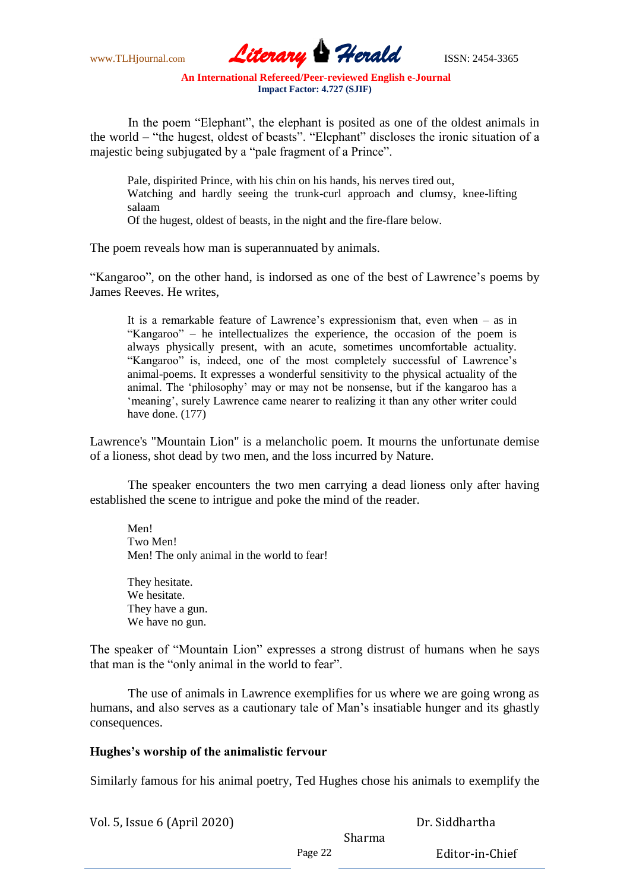www.TLHjournal.com *Literary Herald*ISSN: 2454-3365

In the poem "Elephant", the elephant is posited as one of the oldest animals in the world – "the hugest, oldest of beasts". "Elephant" discloses the ironic situation of a majestic being subjugated by a "pale fragment of a Prince".

Pale, dispirited Prince, with his chin on his hands, his nerves tired out, Watching and hardly seeing the trunk-curl approach and clumsy, knee-lifting salaam

Of the hugest, oldest of beasts, in the night and the fire-flare below.

The poem reveals how man is superannuated by animals.

"Kangaroo", on the other hand, is indorsed as one of the best of Lawrence's poems by James Reeves. He writes,

It is a remarkable feature of Lawrence's expressionism that, even when – as in "Kangaroo" – he intellectualizes the experience, the occasion of the poem is always physically present, with an acute, sometimes uncomfortable actuality. "Kangaroo" is, indeed, one of the most completely successful of Lawrence's animal-poems. It expresses a wonderful sensitivity to the physical actuality of the animal. The 'philosophy' may or may not be nonsense, but if the kangaroo has a ‗meaning', surely Lawrence came nearer to realizing it than any other writer could have done. (177)

Lawrence's "Mountain Lion" is a melancholic poem. It mourns the unfortunate demise of a lioness, shot dead by two men, and the loss incurred by Nature.

The speaker encounters the two men carrying a dead lioness only after having established the scene to intrigue and poke the mind of the reader.

Men! Two Men! Men! The only animal in the world to fear!

They hesitate. We hesitate. They have a gun. We have no gun.

The speaker of "Mountain Lion" expresses a strong distrust of humans when he says that man is the "only animal in the world to fear".

The use of animals in Lawrence exemplifies for us where we are going wrong as humans, and also serves as a cautionary tale of Man's insatiable hunger and its ghastly consequences.

## **Hughes's worship of the animalistic fervour**

Similarly famous for his animal poetry, Ted Hughes chose his animals to exemplify the

Vol. 5, Issue 6 (April 2020)

Dr. Siddhartha

Sharma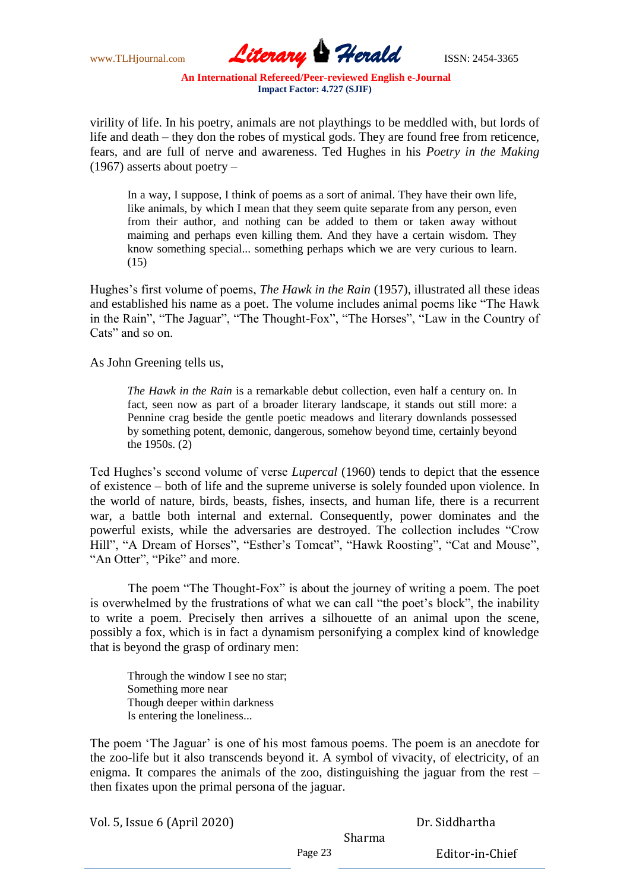www.TLHjournal.com *Literary Herald*ISSN: 2454-3365

virility of life. In his poetry, animals are not playthings to be meddled with, but lords of life and death – they don the robes of mystical gods. They are found free from reticence, fears, and are full of nerve and awareness. Ted Hughes in his *Poetry in the Making* (1967) asserts about poetry –

In a way, I suppose, I think of poems as a sort of animal. They have their own life, like animals, by which I mean that they seem quite separate from any person, even from their author, and nothing can be added to them or taken away without maiming and perhaps even killing them. And they have a certain wisdom. They know something special... something perhaps which we are very curious to learn. (15)

Hughes's first volume of poems, *The Hawk in the Rain* (1957), illustrated all these ideas and established his name as a poet. The volume includes animal poems like "The Hawk in the Rain", "The Jaguar", "The Thought-Fox", "The Horses", "Law in the Country of Cats" and so on.

As John Greening tells us,

*The Hawk in the Rain* is a remarkable debut collection, even half a century on. In fact, seen now as part of a broader literary landscape, it stands out still more: a Pennine crag beside the gentle poetic meadows and literary downlands possessed by something potent, demonic, dangerous, somehow beyond time, certainly beyond the 1950s. (2)

Ted Hughes's second volume of verse *Lupercal* (1960) tends to depict that the essence of existence – both of life and the supreme universe is solely founded upon violence. In the world of nature, birds, beasts, fishes, insects, and human life, there is a recurrent war, a battle both internal and external. Consequently, power dominates and the powerful exists, while the adversaries are destroyed. The collection includes "Crow Hill", "A Dream of Horses", "Esther's Tomcat", "Hawk Roosting", "Cat and Mouse", "An Otter", "Pike" and more.

The poem "The Thought-Fox" is about the journey of writing a poem. The poet is overwhelmed by the frustrations of what we can call "the poet's block", the inability to write a poem. Precisely then arrives a silhouette of an animal upon the scene, possibly a fox, which is in fact a dynamism personifying a complex kind of knowledge that is beyond the grasp of ordinary men:

Through the window I see no star; Something more near Though deeper within darkness Is entering the loneliness...

The poem 'The Jaguar' is one of his most famous poems. The poem is an anecdote for the zoo-life but it also transcends beyond it. A symbol of vivacity, of electricity, of an enigma. It compares the animals of the zoo, distinguishing the jaguar from the rest – then fixates upon the primal persona of the jaguar.

Vol. 5, Issue 6 (April 2020)

Dr. Siddhartha

Sharma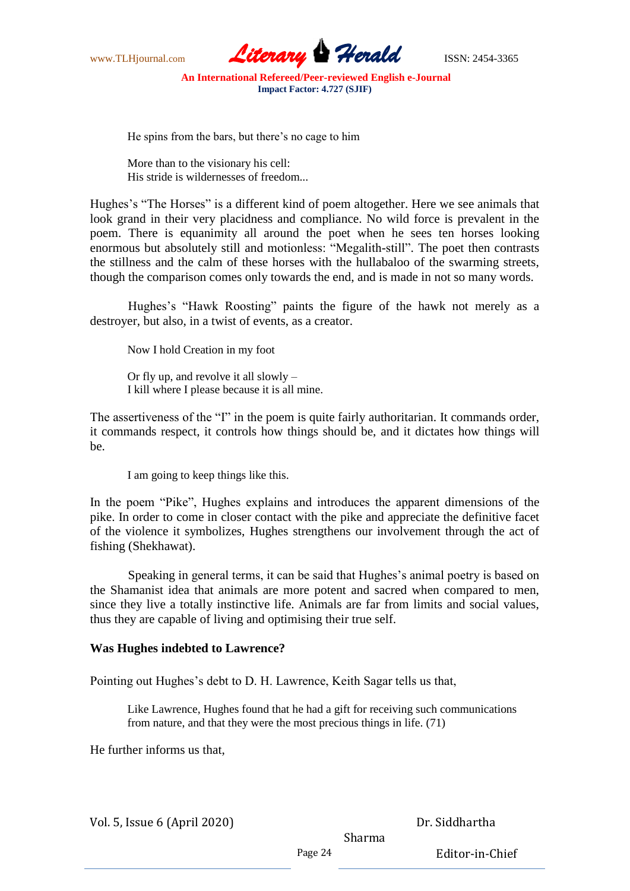

He spins from the bars, but there's no cage to him

More than to the visionary his cell: His stride is wildernesses of freedom...

Hughes's "The Horses" is a different kind of poem altogether. Here we see animals that look grand in their very placidness and compliance. No wild force is prevalent in the poem. There is equanimity all around the poet when he sees ten horses looking enormous but absolutely still and motionless: "Megalith-still". The poet then contrasts the stillness and the calm of these horses with the hullabaloo of the swarming streets, though the comparison comes only towards the end, and is made in not so many words.

Hughes's "Hawk Roosting" paints the figure of the hawk not merely as a destroyer, but also, in a twist of events, as a creator.

Now I hold Creation in my foot

Or fly up, and revolve it all slowly – I kill where I please because it is all mine.

The assertiveness of the "I" in the poem is quite fairly authoritarian. It commands order, it commands respect, it controls how things should be, and it dictates how things will be.

I am going to keep things like this.

In the poem "Pike", Hughes explains and introduces the apparent dimensions of the pike. In order to come in closer contact with the pike and appreciate the definitive facet of the violence it symbolizes, Hughes strengthens our involvement through the act of fishing (Shekhawat).

Speaking in general terms, it can be said that Hughes's animal poetry is based on the Shamanist idea that animals are more potent and sacred when compared to men, since they live a totally instinctive life. Animals are far from limits and social values, thus they are capable of living and optimising their true self.

## **Was Hughes indebted to Lawrence?**

Pointing out Hughes's debt to D. H. Lawrence, Keith Sagar tells us that,

Like Lawrence, Hughes found that he had a gift for receiving such communications from nature, and that they were the most precious things in life. (71)

He further informs us that,

Vol. 5, Issue 6 (April 2020)

Dr. Siddhartha

Sharma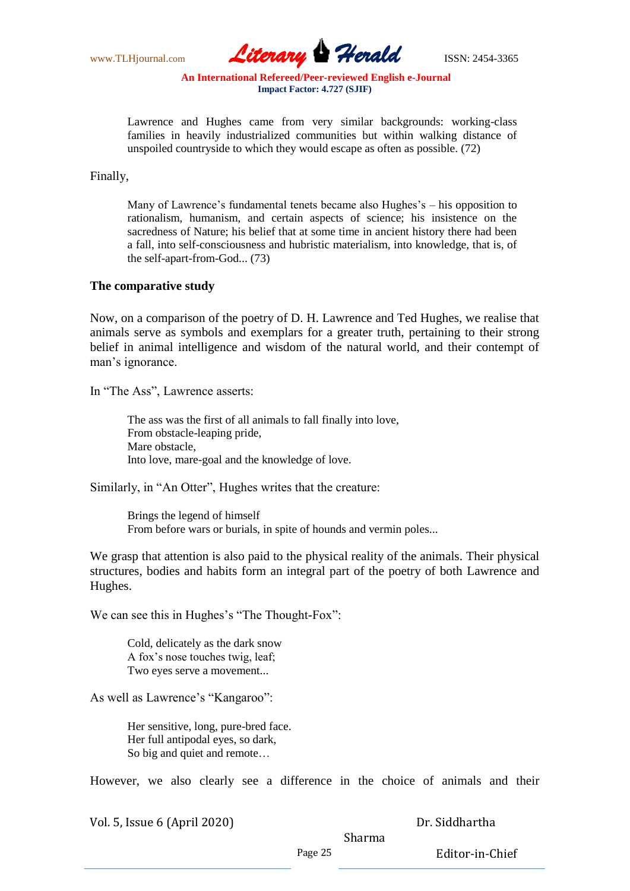

Lawrence and Hughes came from very similar backgrounds: working-class families in heavily industrialized communities but within walking distance of unspoiled countryside to which they would escape as often as possible. (72)

Finally,

Many of Lawrence's fundamental tenets became also Hughes's – his opposition to rationalism, humanism, and certain aspects of science; his insistence on the sacredness of Nature; his belief that at some time in ancient history there had been a fall, into self-consciousness and hubristic materialism, into knowledge, that is, of the self-apart-from-God... (73)

#### **The comparative study**

Now, on a comparison of the poetry of D. H. Lawrence and Ted Hughes, we realise that animals serve as symbols and exemplars for a greater truth, pertaining to their strong belief in animal intelligence and wisdom of the natural world, and their contempt of man's ignorance.

In "The Ass", Lawrence asserts:

The ass was the first of all animals to fall finally into love, From obstacle-leaping pride, Mare obstacle, Into love, mare-goal and the knowledge of love.

Similarly, in "An Otter", Hughes writes that the creature:

Brings the legend of himself From before wars or burials, in spite of hounds and vermin poles...

We grasp that attention is also paid to the physical reality of the animals. Their physical structures, bodies and habits form an integral part of the poetry of both Lawrence and Hughes.

We can see this in Hughes's "The Thought-Fox":

Cold, delicately as the dark snow A fox's nose touches twig, leaf; Two eyes serve a movement...

As well as Lawrence's "Kangaroo":

Her sensitive, long, pure-bred face. Her full antipodal eyes, so dark, So big and quiet and remote…

However, we also clearly see a difference in the choice of animals and their

| Vol. 5, Issue 6 (April 2020) |  |
|------------------------------|--|
|------------------------------|--|

Dr. Siddhartha

Sharma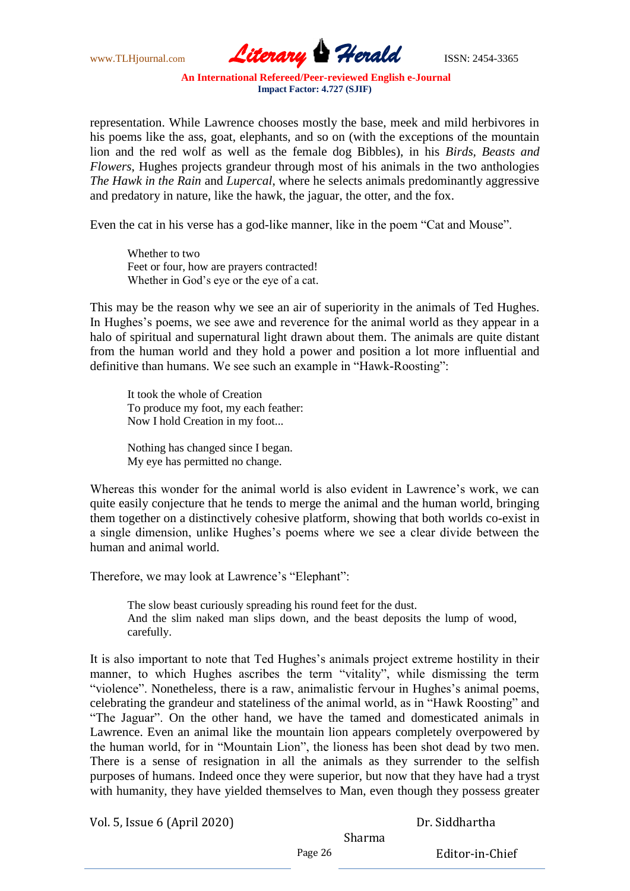www.TLHjournal.com *Literary Herald*ISSN: 2454-3365

representation. While Lawrence chooses mostly the base, meek and mild herbivores in his poems like the ass, goat, elephants, and so on (with the exceptions of the mountain lion and the red wolf as well as the female dog Bibbles), in his *Birds, Beasts and Flowers*, Hughes projects grandeur through most of his animals in the two anthologies *The Hawk in the Rain* and *Lupercal*, where he selects animals predominantly aggressive and predatory in nature, like the hawk, the jaguar, the otter, and the fox.

Even the cat in his verse has a god-like manner, like in the poem "Cat and Mouse".

Whether to two Feet or four, how are prayers contracted! Whether in God's eye or the eye of a cat.

This may be the reason why we see an air of superiority in the animals of Ted Hughes. In Hughes's poems, we see awe and reverence for the animal world as they appear in a halo of spiritual and supernatural light drawn about them. The animals are quite distant from the human world and they hold a power and position a lot more influential and definitive than humans. We see such an example in "Hawk-Roosting":

It took the whole of Creation To produce my foot, my each feather: Now I hold Creation in my foot...

Nothing has changed since I began. My eye has permitted no change.

Whereas this wonder for the animal world is also evident in Lawrence's work, we can quite easily conjecture that he tends to merge the animal and the human world, bringing them together on a distinctively cohesive platform, showing that both worlds co-exist in a single dimension, unlike Hughes's poems where we see a clear divide between the human and animal world.

Therefore, we may look at Lawrence's "Elephant":

The slow beast curiously spreading his round feet for the dust. And the slim naked man slips down, and the beast deposits the lump of wood, carefully.

It is also important to note that Ted Hughes's animals project extreme hostility in their manner, to which Hughes ascribes the term "vitality", while dismissing the term "violence". Nonetheless, there is a raw, animalistic fervour in Hughes's animal poems, celebrating the grandeur and stateliness of the animal world, as in "Hawk Roosting" and "The Jaguar". On the other hand, we have the tamed and domesticated animals in Lawrence. Even an animal like the mountain lion appears completely overpowered by the human world, for in "Mountain Lion", the lioness has been shot dead by two men. There is a sense of resignation in all the animals as they surrender to the selfish purposes of humans. Indeed once they were superior, but now that they have had a tryst with humanity, they have yielded themselves to Man, even though they possess greater

Vol. 5, Issue 6 (April 2020)

Dr. Siddhartha

Sharma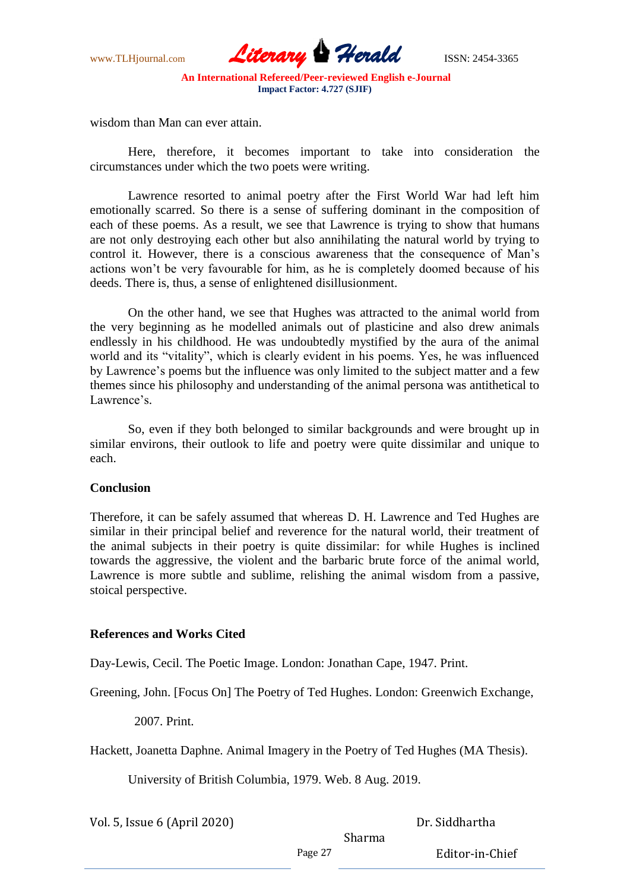

wisdom than Man can ever attain.

Here, therefore, it becomes important to take into consideration the circumstances under which the two poets were writing.

Lawrence resorted to animal poetry after the First World War had left him emotionally scarred. So there is a sense of suffering dominant in the composition of each of these poems. As a result, we see that Lawrence is trying to show that humans are not only destroying each other but also annihilating the natural world by trying to control it. However, there is a conscious awareness that the consequence of Man's actions won't be very favourable for him, as he is completely doomed because of his deeds. There is, thus, a sense of enlightened disillusionment.

On the other hand, we see that Hughes was attracted to the animal world from the very beginning as he modelled animals out of plasticine and also drew animals endlessly in his childhood. He was undoubtedly mystified by the aura of the animal world and its "vitality", which is clearly evident in his poems. Yes, he was influenced by Lawrence's poems but the influence was only limited to the subject matter and a few themes since his philosophy and understanding of the animal persona was antithetical to Lawrence's.

So, even if they both belonged to similar backgrounds and were brought up in similar environs, their outlook to life and poetry were quite dissimilar and unique to each.

## **Conclusion**

Therefore, it can be safely assumed that whereas D. H. Lawrence and Ted Hughes are similar in their principal belief and reverence for the natural world, their treatment of the animal subjects in their poetry is quite dissimilar: for while Hughes is inclined towards the aggressive, the violent and the barbaric brute force of the animal world, Lawrence is more subtle and sublime, relishing the animal wisdom from a passive, stoical perspective.

## **References and Works Cited**

Day-Lewis, Cecil. The Poetic Image. London: Jonathan Cape, 1947. Print.

Greening, John. [Focus On] The Poetry of Ted Hughes. London: Greenwich Exchange,

2007. Print.

Hackett, Joanetta Daphne. Animal Imagery in the Poetry of Ted Hughes (MA Thesis).

University of British Columbia, 1979. Web. 8 Aug. 2019.

Vol. 5, Issue 6 (April 2020)

Dr. Siddhartha

Sharma